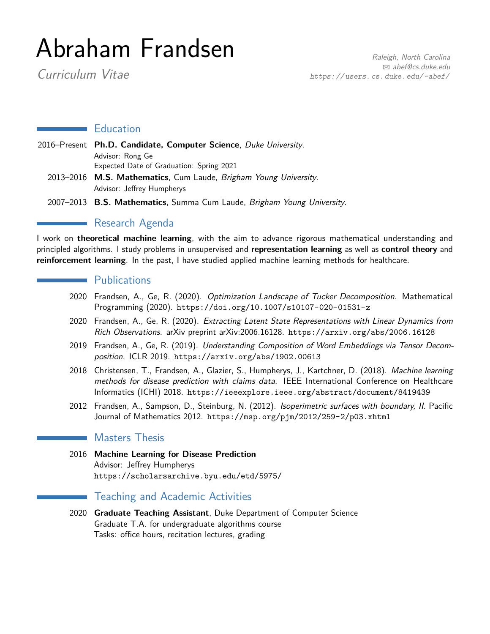# Abraham Frandsen

Curriculum Vitae

## **Education**

- 2016–Present **Ph.D. Candidate, Computer Science**, Duke University. Advisor: Rong Ge Expected Date of Graduation: Spring 2021 2013–2016 **M.S. Mathematics**, Cum Laude, Brigham Young University. Advisor: Jeffrey Humpherys
	- 2007–2013 **B.S. Mathematics**, Summa Cum Laude, Brigham Young University.

## **Research Agenda**

I work on **theoretical machine learning**, with the aim to advance rigorous mathematical understanding and principled algorithms. I study problems in unsupervised and **representation learning** as well as **control theory** and **reinforcement learning**. In the past, I have studied applied machine learning methods for healthcare.

## **Publications**

- 2020 Frandsen, A., Ge, R. (2020). Optimization Landscape of Tucker Decomposition. Mathematical Programming (2020). <https://doi.org/10.1007/s10107-020-01531-z>
- 2020 Frandsen, A., Ge, R. (2020). Extracting Latent State Representations with Linear Dynamics from Rich Observations. arXiv preprint arXiv:2006.16128. <https://arxiv.org/abs/2006.16128>
- 2019 Frandsen, A., Ge, R. (2019). Understanding Composition of Word Embeddings via Tensor Decomposition. ICLR 2019. <https://arxiv.org/abs/1902.00613>
- 2018 Christensen, T., Frandsen, A., Glazier, S., Humpherys, J., Kartchner, D. (2018). Machine learning methods for disease prediction with claims data. IEEE International Conference on Healthcare Informatics (ICHI) 2018. <https://ieeexplore.ieee.org/abstract/document/8419439>
- 2012 Frandsen, A., Sampson, D., Steinburg, N. (2012). Isoperimetric surfaces with boundary, II. Pacific Journal of Mathematics 2012. <https://msp.org/pjm/2012/259-2/p03.xhtml>

## Masters Thesis

2016 **Machine Learning for Disease Prediction** Advisor: Jeffrey Humpherys <https://scholarsarchive.byu.edu/etd/5975/>

## Teaching and Academic Activities

2020 **Graduate Teaching Assistant**, Duke Department of Computer Science Graduate T.A. for undergraduate algorithms course Tasks: office hours, recitation lectures, grading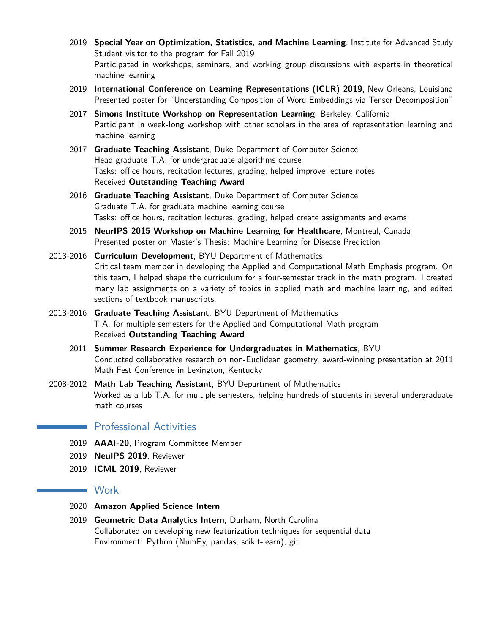- 2019 **Special Year on Optimization, Statistics, and Machine Learning**, Institute for Advanced Study Student visitor to the program for Fall 2019 Participated in workshops, seminars, and working group discussions with experts in theoretical machine learning
- 2019 **International Conference on Learning Representations (ICLR) 2019**, New Orleans, Louisiana Presented poster for "Understanding Composition of Word Embeddings via Tensor Decomposition"
- 2017 **Simons Institute Workshop on Representation Learning**, Berkeley, California Participant in week-long workshop with other scholars in the area of representation learning and machine learning
- 2017 **Graduate Teaching Assistant**, Duke Department of Computer Science Head graduate T.A. for undergraduate algorithms course Tasks: office hours, recitation lectures, grading, helped improve lecture notes Received **Outstanding Teaching Award**
- 2016 **Graduate Teaching Assistant**, Duke Department of Computer Science Graduate T.A. for graduate machine learning course Tasks: office hours, recitation lectures, grading, helped create assignments and exams
- 2015 **NeurIPS 2015 Workshop on Machine Learning for Healthcare**, Montreal, Canada Presented poster on Master's Thesis: Machine Learning for Disease Prediction
- 2013-2016 **Curriculum Development**, BYU Department of Mathematics Critical team member in developing the Applied and Computational Math Emphasis program. On this team, I helped shape the curriculum for a four-semester track in the math program. I created many lab assignments on a variety of topics in applied math and machine learning, and edited sections of textbook manuscripts.
- 2013-2016 **Graduate Teaching Assistant**, BYU Department of Mathematics T.A. for multiple semesters for the Applied and Computational Math program Received **Outstanding Teaching Award**
	- 2011 **Summer Research Experience for Undergraduates in Mathematics**, BYU Conducted collaborative research on non-Euclidean geometry, award-winning presentation at 2011 Math Fest Conference in Lexington, Kentucky
- 2008-2012 **Math Lab Teaching Assistant**, BYU Department of Mathematics Worked as a lab T.A. for multiple semesters, helping hundreds of students in several undergraduate math courses

## Professional Activities

- 2019 **AAAI-20**, Program Committee Member
- 2019 **NeuIPS 2019**, Reviewer
- 2019 **ICML 2019**, Reviewer

## **Work**

- 2020 **Amazon Applied Science Intern**
- 2019 **Geometric Data Analytics Intern**, Durham, North Carolina Collaborated on developing new featurization techniques for sequential data Environment: Python (NumPy, pandas, scikit-learn), git